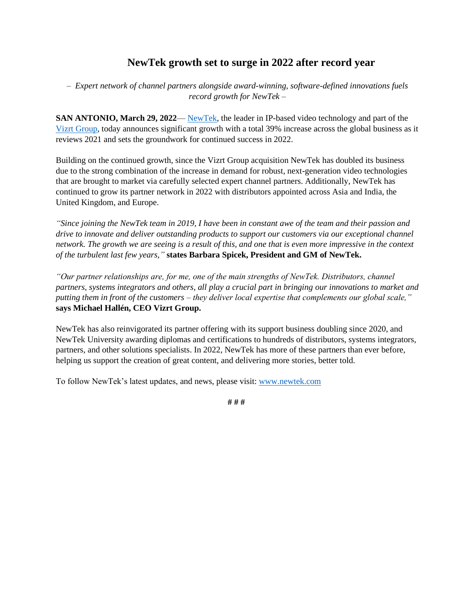## **NewTek growth set to surge in 2022 after record year**

*– Expert network of channel partners alongside award-winning, software-defined innovations fuels record growth for NewTek –* 

**SAN ANTONIO, March 29, 2022**— [NewTek,](https://www.newtek.com/) the leader in IP-based video technology and part of the [Vizrt Group,](https://www.vizrtgroup.com/) today announces significant growth with a total 39% increase across the global business as it reviews 2021 and sets the groundwork for continued success in 2022.

Building on the continued growth, since the Vizrt Group acquisition NewTek has doubled its business due to the strong combination of the increase in demand for robust, next-generation video technologies that are brought to market via carefully selected expert channel partners. Additionally, NewTek has continued to grow its partner network in 2022 with distributors appointed across Asia and India, the United Kingdom, and Europe.

*"Since joining the NewTek team in 2019, I have been in constant awe of the team and their passion and drive to innovate and deliver outstanding products to support our customers via our exceptional channel network. The growth we are seeing is a result of this, and one that is even more impressive in the context of the turbulent last few years,"* **states Barbara Spicek, President and GM of NewTek.**

*"Our partner relationships are, for me, one of the main strengths of NewTek. Distributors, channel partners, systems integrators and others, all play a crucial part in bringing our innovations to market and putting them in front of the customers – they deliver local expertise that complements our global scale,"*  **says Michael Hallén, CEO Vizrt Group.**

NewTek has also reinvigorated its partner offering with its support business doubling since 2020, and NewTek University awarding diplomas and certifications to hundreds of distributors, systems integrators, partners, and other solutions specialists. In 2022, NewTek has more of these partners than ever before, helping us support the creation of great content, and delivering more stories, better told.

To follow NewTek's latest updates, and news, please visit: [www.newtek.com](http://www.newtek.com/)

**# # #**